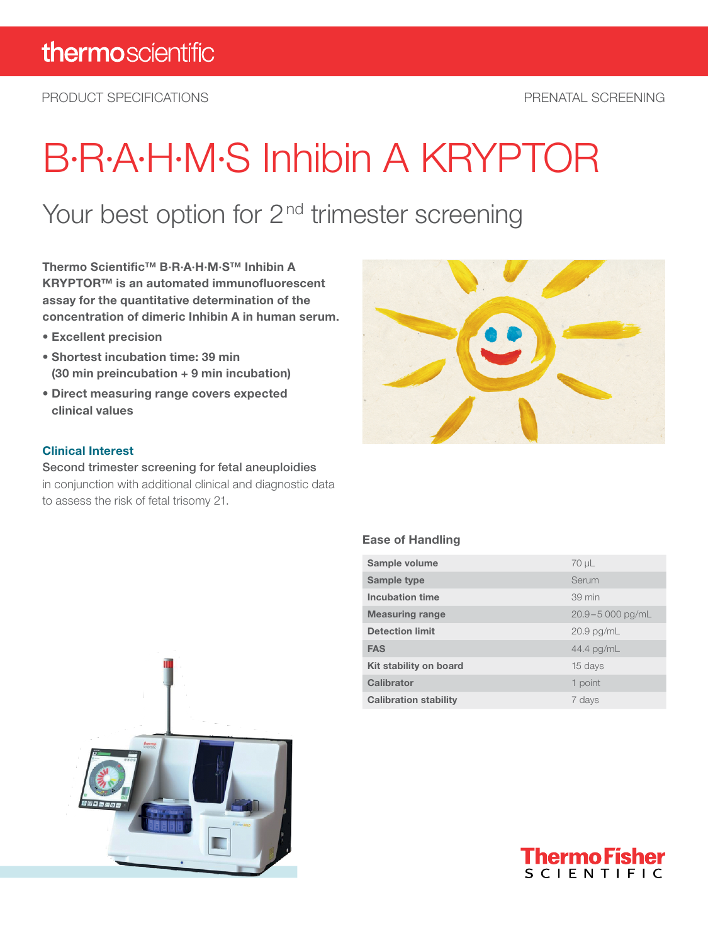PRODUCT SPECIFICATIONS PRENATAL SCREENING

# B·R·A·H·M·S Inhibin A KRYPTOR

### Your best option for 2<sup>nd</sup> trimester screening

Thermo Scientific™ B·R·A·H·M·S™ Inhibin A KRYPTOR™ is an automated immunofluorescent assay for the quantitative determination of the concentration of dimeric Inhibin A in human serum.

- Excellent precision
- Shortest incubation time: 39 min (30 min preincubation + 9 min incubation)
- Direct measuring range covers expected clinical values

#### Clinical Interest

Second trimester screening for fetal aneuploidies in conjunction with additional clinical and diagnostic data to assess the risk of fetal trisomy 21.



#### Ease of Handling

| Sample volume                | $70 \mu L$          |
|------------------------------|---------------------|
| Sample type                  | Serum               |
| <b>Incubation time</b>       | 39 min              |
| <b>Measuring range</b>       | $20.9 - 5000$ pg/mL |
| <b>Detection limit</b>       | $20.9$ pg/mL        |
| <b>FAS</b>                   | 44.4 pg/mL          |
| Kit stability on board       | 15 days             |
| Calibrator                   | 1 point             |
| <b>Calibration stability</b> | 7 days              |